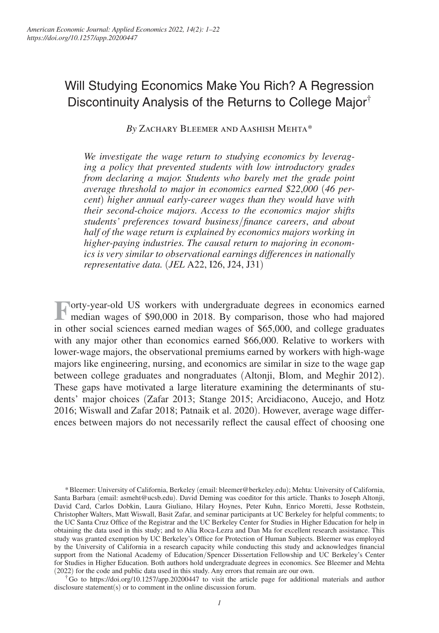# Will Studying Economics Make You Rich? A Regression Discontinuity Analysis of the Returns to College Major†

*By* Zachary Bleemer and Aashish Mehta\*

*We investigate the wage return to studying economics by leveraging a policy that prevented students with low introductory grades from declaring a major. Students who barely met the grade point average threshold to major in economics earned \$22*,*000* (*46 percent*) *higher annual early-career wages than they would have with their second-choice majors. Access to the economics major shifts students' preferences toward business*/*finance careers*, *and about half of the wage return is explained by economics majors working in higher-paying industries. The causal return to majoring in economics is very similar to observational earnings differences in nationally representative data.* (*JEL* A22, I26, J24, J31)

**Forty-year-old US** workers with undergraduate degrees in economics earned median wages of \$90,000 in 2018. By comparison, those who had majored median wages of \$90,000 in 2018. By comparison, those who had majored in other social sciences earned median wages of \$65,000, and college graduates with any major other than economics earned \$66,000. Relative to workers with lower-wage majors, the observational premiums earned by workers with high-wage majors like engineering, nursing, and economics are similar in size to the wage gap between college graduates and nongraduates (Altonji, Blom, and Meghir 2012). These gaps have motivated a large literature examining the determinants of students' major choices (Zafar 2013; Stange 2015; Arcidiacono, Aucejo, and Hotz 2016; Wiswall and Zafar 2018; Patnaik et al. 2020). However, average wage differences between majors do not necessarily reflect the causal effect of choosing one

† Go to https://doi.org/10.1257/app.20200447 to visit the article page for additional materials and author disclosure statement(s) or to comment in the online discussion forum.

<sup>\*</sup> Bleemer: University of California, Berkeley (email: bleemer@berkeley.edu); Mehta: University of California, Santa Barbara (email: asmeht@ucsb.edu). David Deming was coeditor for this article. Thanks to Joseph Altonji, David Card, Carlos Dobkin, Laura Giuliano, Hilary Hoynes, Peter Kuhn, Enrico Moretti, Jesse Rothstein, Christopher Walters, Matt Wiswall, Basit Zafar, and seminar participants at UC Berkeley for helpful comments; to the UC Santa Cruz Office of the Registrar and the UC Berkeley Center for Studies in Higher Education for help in obtaining the data used in this study; and to Alia Roca-Lezra and Dan Ma for excellent research assistance. This study was granted exemption by UC Berkeley's Office for Protection of Human Subjects. Bleemer was employed by the University of California in a research capacity while conducting this study and acknowledges financial support from the National Academy of Education/Spencer Dissertation Fellowship and UC Berkeley's Center for Studies in Higher Education. Both authors hold undergraduate degrees in economics. See Bleemer and Mehta (2022) for the code and public data used in this study. Any errors that remain are our own.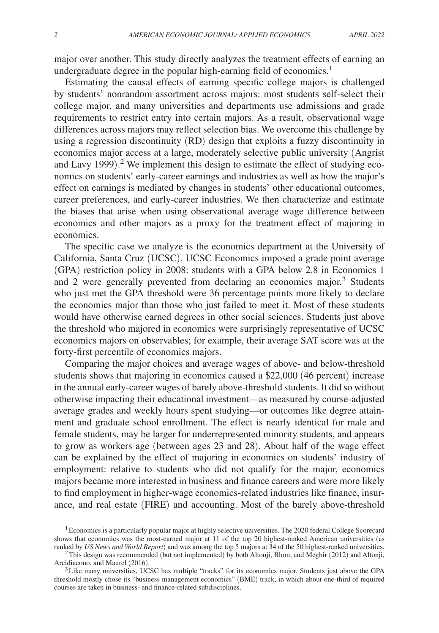major over another. This study directly analyzes the treatment effects of earning an undergraduate degree in the popular high-earning field of economics.<sup>1</sup>

Estimating the causal effects of earning specific college majors is challenged by students' nonrandom assortment across majors: most students self-select their college major, and many universities and departments use admissions and grade requirements to restrict entry into certain majors. As a result, observational wage differences across majors may reflect selection bias. We overcome this challenge by using a regression discontinuity (RD) design that exploits a fuzzy discontinuity in economics major access at a large, moderately selective public university (Angrist and Lavy 1999). 2 We implement this design to estimate the effect of studying economics on students' early-career earnings and industries as well as how the major's effect on earnings is mediated by changes in students' other educational outcomes, career preferences, and early-career industries. We then characterize and estimate the biases that arise when using observational average wage difference between economics and other majors as a proxy for the treatment effect of majoring in economics.

The specific case we analyze is the economics department at the University of California, Santa Cruz (UCSC). UCSC Economics imposed a grade point average (GPA) restriction policy in 2008: students with a GPA below 2.8 in Economics 1 and 2 were generally prevented from declaring an economics major.<sup>3</sup> Students who just met the GPA threshold were 36 percentage points more likely to declare the economics major than those who just failed to meet it. Most of these students would have otherwise earned degrees in other social sciences. Students just above the threshold who majored in economics were surprisingly representative of UCSC economics majors on observables; for example, their average SAT score was at the forty-first percentile of economics majors.

Comparing the major choices and average wages of above- and below-threshold students shows that majoring in economics caused a \$22,000 (46 percent) increase in the annual early-career wages of barely above-threshold students. It did so without otherwise impacting their educational investment—as measured by course-adjusted average grades and weekly hours spent studying—or outcomes like degree attainment and graduate school enrollment. The effect is nearly identical for male and female students, may be larger for underrepresented minority students, and appears to grow as workers age (between ages 23 and 28). About half of the wage effect can be explained by the effect of majoring in economics on students' industry of employment: relative to students who did not qualify for the major, economics majors became more interested in business and finance careers and were more likely to find employment in higher-wage economics-related industries like finance, insurance, and real estate (FIRE) and accounting. Most of the barely above-threshold

<sup>1</sup>Economics is a particularly popular major at highly selective universities. The 2020 federal College Scorecard shows that economics was the most-earned major at 11 of the top 20 highest-ranked American universities (as ranked by *US News and World Report*) and was among the top 5 majors at 34 of the 50 highest-ranked universities.

 $2$ This design was recommended (but not implemented) by both Altonji, Blom, and Meghir (2012) and Altonji, Arcidiacono, and Maurel (2016).

<sup>&</sup>lt;sup>3</sup>Like many universities, UCSC has multiple "tracks" for its economics major. Students just above the GPA threshold mostly chose its "business management economics" (BME) track, in which about one-third of required courses are taken in business- and finance-related subdisciplines.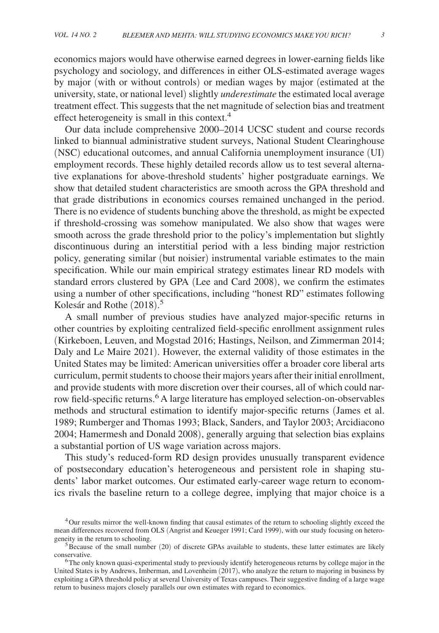economics majors would have otherwise earned degrees in lower-earning fields like psychology and sociology, and differences in either OLS-estimated average wages by major (with or without controls) or median wages by major (estimated at the university, state, or national level) slightly *underestimate* the estimated local average treatment effect. This suggests that the net magnitude of selection bias and treatment effect heterogeneity is small in this context.<sup>4</sup>

Our data include comprehensive 2000–2014 UCSC student and course records linked to biannual administrative student surveys, National Student Clearinghouse (NSC) educational outcomes, and annual California unemployment insurance (UI) employment records. These highly detailed records allow us to test several alternative explanations for above-threshold students' higher postgraduate earnings. We show that detailed student characteristics are smooth across the GPA threshold and that grade distributions in economics courses remained unchanged in the period. There is no evidence of students bunching above the threshold, as might be expected if threshold-crossing was somehow manipulated. We also show that wages were smooth across the grade threshold prior to the policy's implementation but slightly discontinuous during an interstitial period with a less binding major restriction policy, generating similar (but noisier) instrumental variable estimates to the main specification. While our main empirical strategy estimates linear RD models with standard errors clustered by GPA (Lee and Card 2008), we confirm the estimates using a number of other specifications, including "honest RD" estimates following Kolesár and Rothe (2018). 5

A small number of previous studies have analyzed major-specific returns in other countries by exploiting centralized field-specific enrollment assignment rules (Kirkeboen, Leuven, and Mogstad 2016; Hastings, Neilson, and Zimmerman 2014; Daly and Le Maire 2021). However, the external validity of those estimates in the United States may be limited: American universities offer a broader core liberal arts curriculum, permit students to choose their majors years after their initial enrollment, and provide students with more discretion over their courses, all of which could narrow field-specific returns.<sup>6</sup> A large literature has employed selection-on-observables methods and structural estimation to identify major-specific returns (James et al. 1989; Rumberger and Thomas 1993; Black, Sanders, and Taylor 2003; Arcidiacono 2004; Hamermesh and Donald 2008), generally arguing that selection bias explains a substantial portion of US wage variation across majors.

This study's reduced-form RD design provides unusually transparent evidence of postsecondary education's heterogeneous and persistent role in shaping students' labor market outcomes. Our estimated early-career wage return to economics rivals the baseline return to a college degree, implying that major choice is a

<sup>4</sup>Our results mirror the well-known finding that causal estimates of the return to schooling slightly exceed the mean differences recovered from OLS (Angrist and Keueger 1991; Card 1999), with our study focusing on heterogeneity in the return to schooling.

 $5$ Because of the small number (20) of discrete GPAs available to students, these latter estimates are likely conservative.

<sup>6</sup>The only known quasi-experimental study to previously identify heterogeneous returns by college major in the United States is by Andrews, Imberman, and Lovenheim (2017), who analyze the return to majoring in business by exploiting a GPA threshold policy at several University of Texas campuses. Their suggestive finding of a large wage return to business majors closely parallels our own estimates with regard to economics.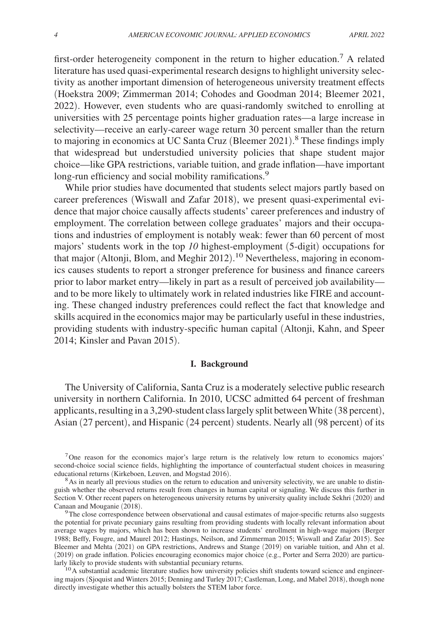first-order heterogeneity component in the return to higher education.<sup>7</sup> A related literature has used quasi-experimental research designs to highlight university selectivity as another important dimension of heterogeneous university treatment effects (Hoekstra 2009; Zimmerman 2014; Cohodes and Goodman 2014; Bleemer 2021, 2022). However, even students who are quasi-randomly switched to enrolling at universities with 25 percentage points higher graduation rates—a large increase in selectivity—receive an early-career wage return 30 percent smaller than the return to majoring in economics at UC Santa Cruz (Bleemer 2021). 8 These findings imply that widespread but understudied university policies that shape student major choice—like GPA restrictions, variable tuition, and grade inflation—have important long-run efficiency and social mobility ramifications.<sup>9</sup>

While prior studies have documented that students select majors partly based on career preferences (Wiswall and Zafar 2018), we present quasi-experimental evidence that major choice causally affects students' career preferences and industry of employment. The correlation between college graduates' majors and their occupations and industries of employment is notably weak: fewer than 60 percent of most majors' students work in the top *10* highest-employment (5-digit) occupations for that major (Altonji, Blom, and Meghir 2012).<sup>10</sup> Nevertheless, majoring in economics causes students to report a stronger preference for business and finance careers prior to labor market entry—likely in part as a result of perceived job availability and to be more likely to ultimately work in related industries like FIRE and accounting. These changed industry preferences could reflect the fact that knowledge and skills acquired in the economics major may be particularly useful in these industries, providing students with industry-specific human capital (Altonji, Kahn, and Speer 2014; Kinsler and Pavan 2015).

## **I. Background**

The University of California, Santa Cruz is a moderately selective public research university in northern California. In 2010, UCSC admitted 64 percent of freshman applicants, resulting in a 3, 290-student class largely split between White (38 percent), Asian (27 percent), and Hispanic (24 percent) students. Nearly all (98 percent) of its

<sup>7</sup>One reason for the economics major's large return is the relatively low return to economics majors' second-choice social science fields, highlighting the importance of counterfactual student choices in measuring educational returns (Kirkeboen, Leuven, and Mogstad 2016).

<sup>8</sup>As in nearly all previous studies on the return to education and university selectivity, we are unable to distinguish whether the observed returns result from changes in human capital or signaling. We discuss this further in Section V. Other recent papers on heterogeneous university returns by university quality include Sekhri (2020) and Canaan and Mouganie (2018).

<sup>9</sup>The close correspondence between observational and causal estimates of major-specific returns also suggests the potential for private pecuniary gains resulting from providing students with locally relevant information about average wages by majors, which has been shown to increase students' enrollment in high-wage majors (Berger 1988; Beffy, Fougre, and Maurel 2012; Hastings, Neilson, and Zimmerman 2015; Wiswall and Zafar 2015). See Bleemer and Mehta (2021) on GPA restrictions, Andrews and Stange (2019) on variable tuition, and Ahn et al. (2019) on grade inflation. Policies encouraging economics major choice (e.g., Porter and Serra 2020) are particularly likely to provide students with substantial pecuniary returns.

<sup>10</sup>A substantial academic literature studies how university policies shift students toward science and engineering majors (Sjoquist and Winters 2015; Denning and Turley 2017; Castleman, Long, and Mabel 2018), though none directly investigate whether this actually bolsters the STEM labor force.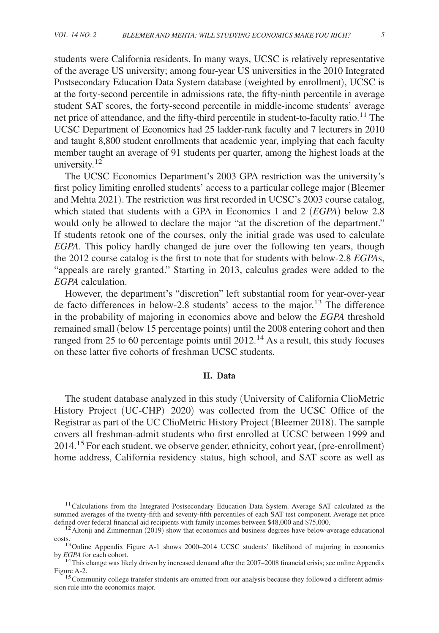students were California residents. In many ways, UCSC is relatively representative of the average US university; among four-year US universities in the 2010 Integrated Postsecondary Education Data System database (weighted by enrollment), UCSC is at the forty-second percentile in admissions rate, the fifty-ninth percentile in average student SAT scores, the forty-second percentile in middle-income students' average net price of attendance, and the fifty-third percentile in student-to-faculty ratio.11 The UCSC Department of Economics had 25 ladder-rank faculty and 7 lecturers in 2010 and taught 8,800 student enrollments that academic year, implying that each faculty member taught an average of 91 students per quarter, among the highest loads at the university. $12$ 

The UCSC Economics Department's 2003 GPA restriction was the university's first policy limiting enrolled students' access to a particular college major (Bleemer and Mehta 2021). The restriction was first recorded in UCSC's 2003 course catalog, which stated that students with a GPA in Economics 1 and 2 (*EGPA*) below 2.8 would only be allowed to declare the major "at the discretion of the department." If students retook one of the courses, only the initial grade was used to calculate *EGPA*. This policy hardly changed de jure over the following ten years, though the 2012 course catalog is the first to note that for students with below-2.8 *EGPA*s, "appeals are rarely granted." Starting in 2013, calculus grades were added to the *EGPA* calculation.

However, the department's "discretion" left substantial room for year-over-year de facto differences in below-2.8 students' access to the major.13 The difference in the probability of majoring in economics above and below the *EGPA* threshold remained small (below 15 percentage points) until the 2008 entering cohort and then ranged from 25 to 60 percentage points until 2012.<sup>14</sup> As a result, this study focuses on these latter five cohorts of freshman UCSC students.

# **II. Data**

The student database analyzed in this study ( University of California ClioMetric History Project (UC-CHP) 2020) was collected from the UCSC Office of the Registrar as part of the UC ClioMetric History Project (Bleemer 2018). The sample covers all freshman-admit students who first enrolled at UCSC between 1999 and 2014.15 For each student, we observe gender, ethnicity, cohort year, ( pre-enrollment) home address, California residency status, high school, and SAT score as well as

<sup>&</sup>lt;sup>11</sup>Calculations from the Integrated Postsecondary Education Data System. Average SAT calculated as the summed averages of the twenty-fifth and seventy-fifth percentiles of each SAT test component. Average net price defined over federal financial aid recipients with family incomes between \$48,000 and \$75,000.

 $12$  Altonji and Zimmerman (2019) show that economics and business degrees have below-average educational costs. <sup>13</sup>Online Appendix Figure A-1 shows 2000–2014 UCSC students' likelihood of majoring in economics

by *EGPA* for each cohort.

<sup>&</sup>lt;sup>14</sup>This change was likely driven by increased demand after the 2007–2008 financial crisis; see online Appendix Figure A-2.

<sup>&</sup>lt;sup>15</sup> Community college transfer students are omitted from our analysis because they followed a different admission rule into the economics major.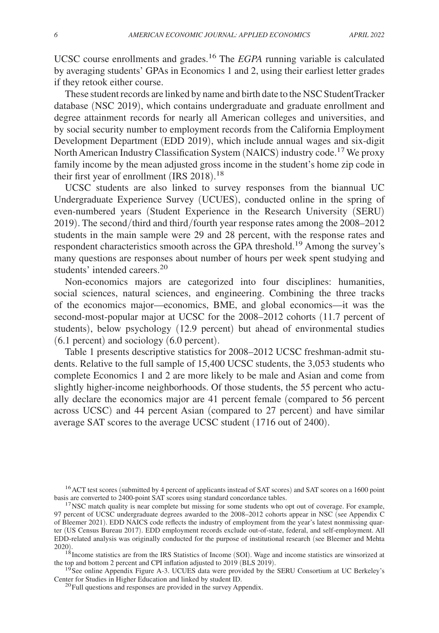UCSC course enrollments and grades.16 The *EGPA* running variable is calculated by averaging students' GPAs in Economics 1 and 2, using their earliest letter grades if they retook either course.

These student records are linked by name and birth date to the NSC StudentTracker database (NSC 2019), which contains undergraduate and graduate enrollment and degree attainment records for nearly all American colleges and universities, and by social security number to employment records from the California Employment Development Department (EDD 2019), which include annual wages and six-digit North American Industry Classification System (NAICS) industry code.17 We proxy family income by the mean adjusted gross income in the student's home zip code in their first year of enrollment (IRS 2018).<sup>18</sup>

UCSC students are also linked to survey responses from the biannual UC Undergraduate Experience Survey (UCUES), conducted online in the spring of even-numbered years (Student Experience in the Research University (SERU) 2019). The second/third and third/fourth year response rates among the 2008–2012 students in the main sample were 29 and 28 percent, with the response rates and respondent characteristics smooth across the GPA threshold.<sup>19</sup> Among the survey's many questions are responses about number of hours per week spent studying and students' intended careers.<sup>20</sup>

 Non-economics majors are categorized into four disciplines: humanities, social sciences, natural sciences, and engineering. Combining the three tracks of the economics major—economics, BME, and global economics—it was the second-most-popular major at UCSC for the 2008–2012 cohorts (11.7 percent of students), below psychology (12.9 percent) but ahead of environmental studies (6.1 percent) and sociology (6.0 percent).

Table 1 presents descriptive statistics for 2008–2012 UCSC freshman-admit students. Relative to the full sample of 15,400 UCSC students, the 3,053 students who complete Economics 1 and 2 are more likely to be male and Asian and come from slightly higher-income neighborhoods. Of those students, the 55 percent who actually declare the economics major are 41 percent female (compared to 56 percent across UCSC) and 44 percent Asian (compared to 27 percent) and have similar average SAT scores to the average UCSC student (1716 out of 2400).

<sup>&</sup>lt;sup>16</sup> ACT test scores (submitted by 4 percent of applicants instead of SAT scores) and SAT scores on a 1600 point basis are converted to 2400-point SAT scores using standard concordance tables.

<sup>&</sup>lt;sup>17</sup>NSC match quality is near complete but missing for some students who opt out of coverage. For example, 97 percent of UCSC undergraduate degrees awarded to the 2008–2012 cohorts appear in NSC (see Appendix C of Bleemer 2021). EDD NAICS code reflects the industry of employment from the year's latest nonmissing quarter (US Census Bureau 2017). EDD employment records exclude out-of-state, federal, and self-employment. All EDD-related analysis was originally conducted for the purpose of institutional research (see Bleemer and Mehta 2020).

<sup>&</sup>lt;sup>18</sup> Income statistics are from the IRS Statistics of Income (SOI). Wage and income statistics are winsorized at the top and bottom 2 percent and CPI inflation adjusted to 2019 (BLS 2019).

<sup>&</sup>lt;sup>19</sup>See online Appendix Figure A-3. UCUES data were provided by the SERU Consortium at UC Berkeley's Center for Studies in Higher Education and linked by student ID.

<sup>&</sup>lt;sup>20</sup>Full questions and responses are provided in the survey Appendix.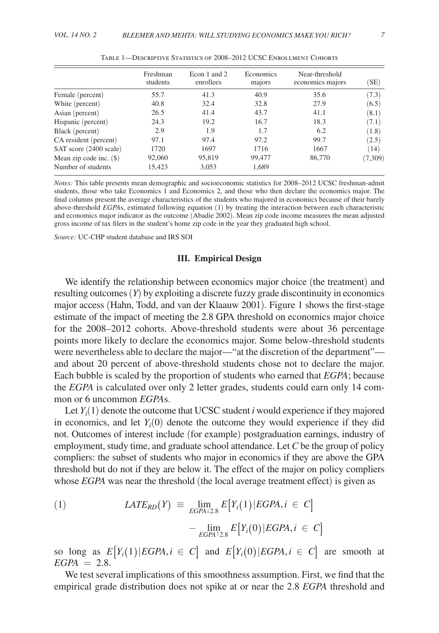|                           | Freshman<br>students | Econ 1 and 2<br>enrollees | Economics<br>majors | Near-threshold<br>economics majors | (SE)    |
|---------------------------|----------------------|---------------------------|---------------------|------------------------------------|---------|
| Female (percent)          | 55.7                 | 41.3                      | 40.9                | 35.6                               | (7.3)   |
| White (percent)           | 40.8                 | 32.4                      | 32.8                | 27.9                               | (6.5)   |
| Asian (percent)           | 26.5                 | 41.4                      | 43.7                | 41.1                               | (8.1)   |
| Hispanic (percent)        | 24.3                 | 19.2                      | 16.7                | 18.3                               | (7.1)   |
| Black (percent)           | 2.9                  | 1.9                       | 1.7                 | 6.2                                | (1.8)   |
| CA resident (percent)     | 97.1                 | 97.4                      | 97.2                | 99.7                               | (2.5)   |
| SAT score (2400 scale)    | 1720                 | 1697                      | 1716                | 1667                               | (14)    |
| Mean zip code inc. $(\$)$ | 92,060               | 95,819                    | 99,477              | 86,770                             | (7,309) |
| Number of students        | 15,423               | 3,053                     | 1,689               |                                    |         |

*Notes:* This table presents mean demographic and socioeconomic statistics for 2008–2012 UCSC freshman-admit students, those who take Economics 1 and Economics 2, and those who then declare the economics major. The final columns present the average characteristics of the students who majored in economics because of their barely above-threshold *EGPAs*, estimated following equation (1) by treating the interaction between each characteristic and economics major indicator as the outcome (Abadie 2002). Mean zip code income measures the mean adjusted gross income of tax filers in the student's home zip code in the year they graduated high school.

*Source:* UC-CHP student database and IRS SOI

#### **III. Empirical Design**

We identify the relationship between economics major choice (the treatment) and resulting outcomes (*Y*) by exploiting a discrete fuzzy grade discontinuity in economics major access (Hahn, Todd, and van der Klaauw 2001). Figure 1 shows the first-stage estimate of the impact of meeting the 2.8 GPA threshold on economics major choice for the 2008–2012 cohorts. Above-threshold students were about 36 percentage points more likely to declare the economics major. Some below-threshold students were nevertheless able to declare the major—"at the discretion of the department" and about 20 percent of above-threshold students chose not to declare the major. Each bubble is scaled by the proportion of students who earned that *EGPA* ; because the *EGPA* is calculated over only 2 letter grades, students could earn only 14 common or 6 uncommon *EGPAs*.

Let  $Y_i(1)$  denote the outcome that UCSC student *i* would experience if they majored in economics, and let  $Y_i(0)$  denote the outcome they would experience if they did not. Outcomes of interest include (for example) postgraduation earnings, industry of employment, study time, and graduate school attendance. Let *C* be the group of policy compliers: the subset of students who major in economics if they are above the GPA threshold but do not if they are below it. The effect of the major on policy compliers whose *EGPA* was near the threshold (the local average treatment effect) is given as

(1) 
$$
LATE_{RD}(Y) \equiv \lim_{EGPA12.8} E[Y_i(1)|EGPA, i \in C] - \lim_{EGPA12.8} E[Y_i(0)|EGPA, i \in C]
$$

so long as  $E[Y_i(1)|EGPA, i \in C]$  and  $E[Y_i(0)|EGPA, i \in C]$  are smooth at  $EGPA = 2.8$ .

We test several implications of this smoothness assumption. First, we find that the empirical grade distribution does not spike at or near the 2.8 *EGPA* threshold and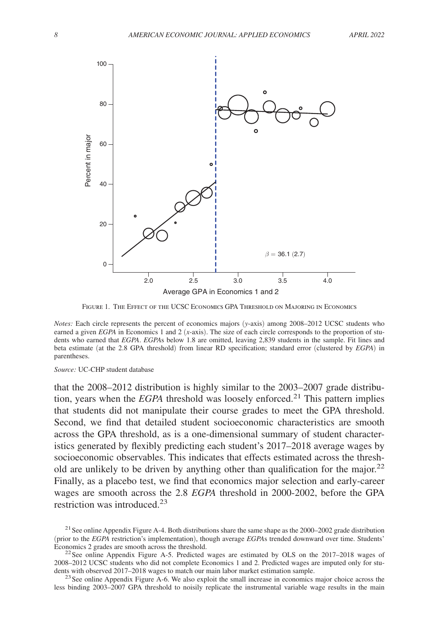

Figure 1. The Effect of the UCSC Economics GPA Threshold on Majoring in Economics

*Notes:* Each circle represents the percent of economics majors (*y*-axis) among 2008–2012 UCSC students who earned a given *EGPA* in Economics 1 and 2 (*x*-axis). The size of each circle corresponds to the proportion of students who earned that *EGPA*. *EGPA*s below 1.8 are omitted, leaving 2,839 students in the sample. Fit lines and beta estimate (at the 2.8 GPA threshold) from linear RD specification; standard error (clustered by *EGPA*) in parentheses.

*Source:* UC-CHP student database

that the 2008–2012 distribution is highly similar to the 2003–2007 grade distribution, years when the *EGPA* threshold was loosely enforced.21 This pattern implies that students did not manipulate their course grades to meet the GPA threshold. Second, we find that detailed student socioeconomic characteristics are smooth across the GPA threshold, as is a one-dimensional summary of student characteristics generated by flexibly predicting each student's 2017–2018 average wages by socioeconomic observables. This indicates that effects estimated across the threshold are unlikely to be driven by anything other than qualification for the major.<sup>22</sup> Finally, as a placebo test, we find that economics major selection and early-career wages are smooth across the 2.8 *EGPA* threshold in 2000-2002, before the GPA restriction was introduced.<sup>23</sup>

<sup>&</sup>lt;sup>21</sup> See online Appendix Figure A-4. Both distributions share the same shape as the  $2000-2002$  grade distribution (prior to the *EGPA* restriction's implementation), though average *EGPA* s trended downward over time. Students' Economics 2 grades are smooth across the threshold.

 $22$ See online Appendix Figure A-5. Predicted wages are estimated by OLS on the 2017–2018 wages of 2008–2012 UCSC students who did not complete Economics 1 and 2. Predicted wages are imputed only for students with observed 2017–2018 wages to match our main labor market estimation sample.

<sup>&</sup>lt;sup>23</sup>See online Appendix Figure A-6. We also exploit the small increase in economics major choice across the less binding 2003–2007 GPA threshold to noisily replicate the instrumental variable wage results in the main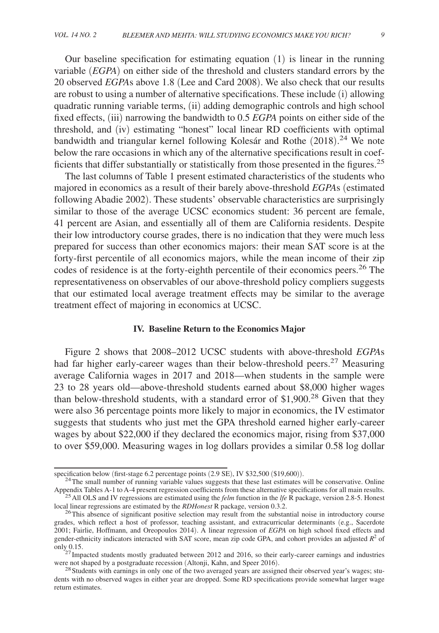Our baseline specification for estimating equation (1) is linear in the running variable (*EGPA*) on either side of the threshold and clusters standard errors by the 20 observed *EGPA* s above 1.8 (Lee and Card 2008). We also check that our results are robust to using a number of alternative specifications. These include (i) allowing quadratic running variable terms, (ii) adding demographic controls and high school fixed effects, (iii) narrowing the bandwidth to 0.5 *EGPA* points on either side of the threshold, and (iv) estimating "honest" local linear RD coefficients with optimal bandwidth and triangular kernel following Kolesár and Rothe (2018).<sup>24</sup> We note below the rare occasions in which any of the alternative specifications result in coefficients that differ substantially or statistically from those presented in the figures.<sup>25</sup>

The last columns of Table 1 present estimated characteristics of the students who majored in economics as a result of their barely above-threshold *EGPA* s (estimated following Abadie 2002). These students' observable characteristics are surprisingly similar to those of the average UCSC economics student: 36 percent are female, 41 percent are Asian, and essentially all of them are California residents. Despite their low introductory course grades, there is no indication that they were much less prepared for success than other economics majors: their mean SAT score is at the forty-first percentile of all economics majors, while the mean income of their zip codes of residence is at the forty-eighth percentile of their economics peers.<sup>26</sup> The representativeness on observables of our above-threshold policy compliers suggests that our estimated local average treatment effects may be similar to the average treatment effect of majoring in economics at UCSC.

#### **IV. Baseline Return to the Economics Major**

Figure 2 shows that 2008–2012 UCSC students with above-threshold *EGPAs* had far higher early-career wages than their below-threshold peers.<sup>27</sup> Measuring average California wages in 2017 and 2018—when students in the sample were 23 to 28 years old— above-threshold students earned about \$8,000 higher wages than below-threshold students, with a standard error of \$1,900.<sup>28</sup> Given that they were also 36 percentage points more likely to major in economics, the IV estimator suggests that students who just met the GPA threshold earned higher early-career wages by about \$22,000 if they declared the economics major, rising from \$37,000 to over \$59,000. Measuring wages in log dollars provides a similar 0.58 log dollar

specification below (first-stage 6.2 percentage points (2.9 SE), IV \$32,500 (\$19,600)).

<sup>&</sup>lt;sup>24</sup>The small number of running variable values suggests that these last estimates will be conservative. Online Appendix Tables A-1 to A-4 present regression coefficients from these alternative specifications for all main results. <sup>25</sup>All OLS and IV regressions are estimated using the *felm* function in the *lfe* R package, version 2. 8-5. Honest

local linear regressions are estimated by the *RDHonest* R package, version 0.3.2.

<sup>&</sup>lt;sup>26</sup>This absence of significant positive selection may result from the substantial noise in introductory course grades, which reflect a host of professor, teaching assistant, and extracurricular determinants (e.g., Sacerdote 2001; Fairlie, Hoffmann, and Oreopoulos 2014). A linear regression of *EGPA* on high school fixed effects and gender-ethnicity indicators interacted with SAT score, mean zip code GPA, and cohort provides an adjusted  $R<sup>2</sup>$  of only 0.15.

 $^{27}$  Impacted students mostly graduated between 2012 and 2016, so their early-career earnings and industries were not shaped by a postgraduate recession (Altonji, Kahn, and Speer 2016).

<sup>&</sup>lt;sup>28</sup> Students with earnings in only one of the two averaged years are assigned their observed year's wages; students with no observed wages in either year are dropped. Some RD specifications provide somewhat larger wage return estimates.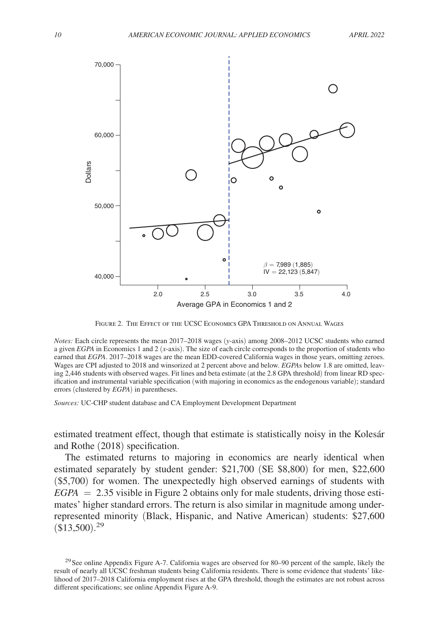

Figure 2. The Effect of the UCSC Economics GPA Threshold on Annual Wages

*Notes:* Each circle represents the mean 2017–2018 wages (*y*-axis) among 2008–2012 UCSC students who earned a given *EGPA* in Economics 1 and 2 (*x*-axis). The size of each circle corresponds to the proportion of students who earned that *EGPA*. 2017–2018 wages are the mean EDD-covered California wages in those years, omitting zeroes. Wages are CPI adjusted to 2018 and winsorized at 2 percent above and below. *EGPAs* below 1.8 are omitted, leaving 2,446 students with observed wages. Fit lines and beta estimate (at the 2.8 GPA threshold) from linear RD specification and instrumental variable specification (with majoring in economics as the endogenous variable); standard errors (clustered by *EGPA*) in parentheses.

*Sources:* UC-CHP student database and CA Employment Development Department

estimated treatment effect, though that estimate is statistically noisy in the Kolesár and Rothe (2018) specification.

The estimated returns to majoring in economics are nearly identical when estimated separately by student gender: \$21,700 (SE \$8,800) for men, \$22,600 (\$5,700) for women. The unexpectedly high observed earnings of students with *EGPA* = 2.35 visible in Figure 2 obtains only for male students, driving those estimates' higher standard errors. The return is also similar in magnitude among underrepresented minority (Black, Hispanic, and Native American) students: \$27,600  $(\overline{$}13,500)$ .<sup>29</sup>

 $29$ See online Appendix Figure A-7. California wages are observed for 80–90 percent of the sample, likely the result of nearly all UCSC freshman students being California residents. There is some evidence that students' likelihood of 2017–2018 California employment rises at the GPA threshold, though the estimates are not robust across different specifications; see online Appendix Figure A-9.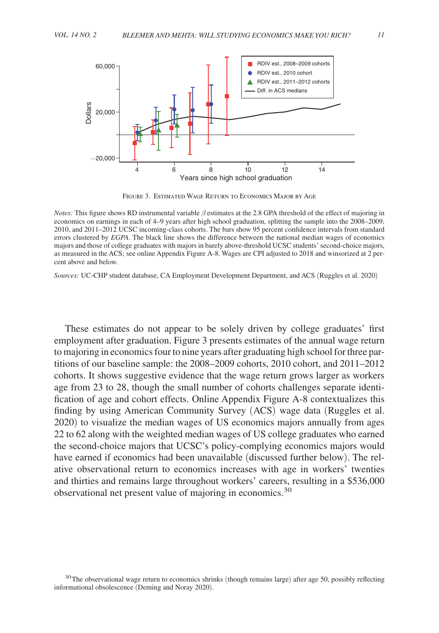

Figure 3. Estimated Wage Return to Economics Major by Age

*Notes:* This figure shows RD instrumental variable β estimates at the 2.8 GPA threshold of the effect of majoring in economics on earnings in each of 4–9 years after high school graduation, splitting the sample into the 2008–2009, 2010, and 2011–2012 UCSC incoming-class cohorts. The bars show 95 percent confidence intervals from standard errors clustered by *EGPA* . The black line shows the difference between the national median wages of economics majors and those of college graduates with majors in barely above-threshold UCSC students' second-choice majors, as measured in the ACS; see online Appendix Figure A-8. Wages are CPI adjusted to 2018 and winsorized at 2 percent above and below.

*Sources:* UC-CHP student database, CA Employment Development Department, and ACS (Ruggles et al. 2020)

These estimates do not appear to be solely driven by college graduates' first employment after graduation. Figure 3 presents estimates of the annual wage return to majoring in economics four to nine years after graduating high school for three partitions of our baseline sample: the 2008–2009 cohorts, 2010 cohort, and 2011–2012 cohorts. It shows suggestive evidence that the wage return grows larger as workers age from 23 to 28, though the small number of cohorts challenges separate identification of age and cohort effects. Online Appendix Figure A-8 contextualizes this finding by using American Community Survey (ACS) wage data (Ruggles et al. 2020) to visualize the median wages of US economics majors annually from ages 22 to 62 along with the weighted median wages of US college graduates who earned the second-choice majors that UCSC's policy-complying economics majors would have earned if economics had been unavailable (discussed further below). The relative observational return to economics increases with age in workers' twenties and thirties and remains large throughout workers' careers, resulting in a \$536,000 observational net present value of majoring in economics.<sup>30</sup>

<sup>&</sup>lt;sup>30</sup>The observational wage return to economics shrinks (though remains large) after age 50, possibly reflecting informational obsolescence (Deming and Noray 2020).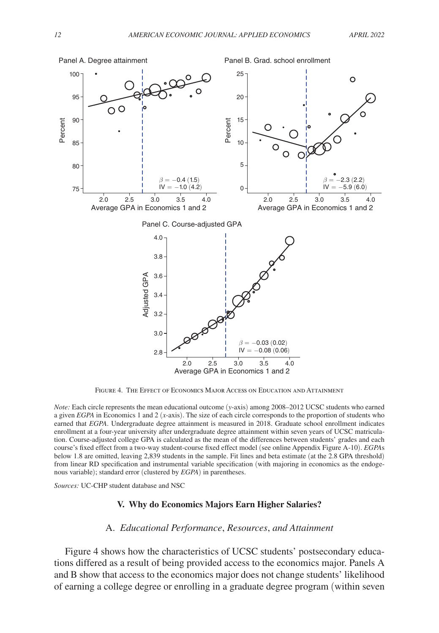

Figure 4. The Effect of Economics Major Access on Education and Attainment

*Note:* Each circle represents the mean educational outcome (*y*-axis) among 2008–2012 UCSC students who earned a given *EGPA* in Economics 1 and 2 (*x*-axis). The size of each circle corresponds to the proportion of students who earned that *EGPA* . Undergraduate degree attainment is measured in 2018. Graduate school enrollment indicates enrollment at a four-year university after undergraduate degree attainment within seven years of UCSC matriculation. Course-adjusted college GPA is calculated as the mean of the differences between students' grades and each course's fixed effect from a two-way student-course fixed effect model (see online Appendix Figure A-10). *EGPA* s below 1.8 are omitted, leaving 2,839 students in the sample. Fit lines and beta estimate (at the 2.8 GPA threshold) from linear RD specification and instrumental variable specification (with majoring in economics as the endogenous variable); standard error (clustered by *EGPA*) in parentheses.

*Sources:* UC-CHP student database and NSC

# **V. Why do Economics Majors Earn Higher Salaries?**

#### A. *Educational Performance*, *Resources*, *and Attainment*

Figure 4 shows how the characteristics of UCSC students' postsecondary educations differed as a result of being provided access to the economics major. Panels A and B show that access to the economics major does not change students' likelihood of earning a college degree or enrolling in a graduate degree program (within seven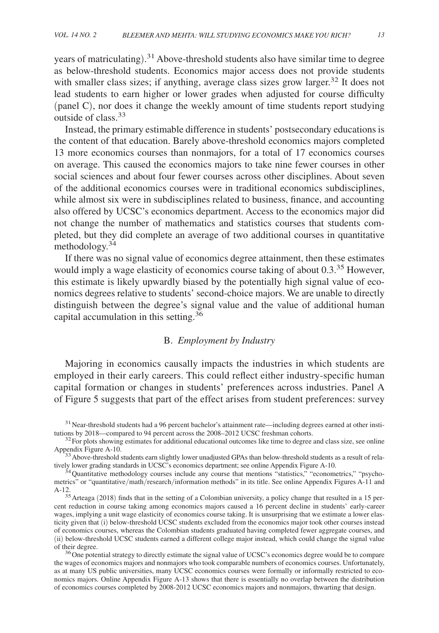years of matriculating).<sup>31</sup> Above-threshold students also have similar time to degree as below-threshold students. Economics major access does not provide students with smaller class sizes; if anything, average class sizes grow larger.<sup>32</sup> It does not lead students to earn higher or lower grades when adjusted for course difficulty (panel C), nor does it change the weekly amount of time students report studying outside of class.<sup>33</sup>

Instead, the primary estimable difference in students' postsecondary educations is the content of that education. Barely above-threshold economics majors completed 13 more economics courses than nonmajors, for a total of 17 economics courses on average. This caused the economics majors to take nine fewer courses in other social sciences and about four fewer courses across other disciplines. About seven of the additional economics courses were in traditional economics subdisciplines, while almost six were in subdisciplines related to business, finance, and accounting also offered by UCSC's economics department. Access to the economics major did not change the number of mathematics and statistics courses that students completed, but they did complete an average of two additional courses in quantitative methodology. $34$ 

If there was no signal value of economics degree attainment, then these estimates would imply a wage elasticity of economics course taking of about 0.3.<sup>35</sup> However, this estimate is likely upwardly biased by the potentially high signal value of economics degrees relative to students' second-choice majors. We are unable to directly distinguish between the degree's signal value and the value of additional human capital accumulation in this setting.<sup>36</sup>

# B. *Employment by Industry*

Majoring in economics causally impacts the industries in which students are employed in their early careers. This could reflect either industry-specific human capital formation or changes in students' preferences across industries. Panel A of Figure 5 suggests that part of the effect arises from student preferences: survey

<sup>&</sup>lt;sup>31</sup> Near-threshold students had a 96 percent bachelor's attainment rate—including degrees earned at other institutions by 2018—compared to 94 percent across the 2008–2012 UCSC freshman cohorts.

 $32$  For plots showing estimates for additional educational outcomes like time to degree and class size, see online Appendix Figure A-10.

 $33A$ bove-threshold students earn slightly lower unadjusted GPAs than below-threshold students as a result of relatively lower grading standards in UCSC's economics department; see online Appendix Figure A-10.

<sup>&</sup>lt;sup>34</sup>Quantitative methodology courses include any course that mentions "statistics," "econometrics," "psychometrics" or "quantitative/math/research/information methods" in its title. See online Appendix Figures A-11 and A-12.

<sup>&</sup>lt;sup>35</sup>Arteaga (2018) finds that in the setting of a Colombian university, a policy change that resulted in a 15 percent reduction in course taking among economics majors caused a 16 percent decline in students' early-career wages, implying a unit wage elasticity of economics course taking. It is unsurprising that we estimate a lower elasticity given that (i) below-threshold UCSC students excluded from the economics major took other courses instead of economics courses, whereas the Colombian students graduated having completed fewer aggregate courses, and (ii) below-threshold UCSC students earned a different college major instead, which could change the signal value of their degree.

<sup>&</sup>lt;sup>36</sup>One potential strategy to directly estimate the signal value of UCSC's economics degree would be to compare the wages of economics majors and nonmajors who took comparable numbers of economics courses. Unfortunately, as at many US public universities, many UCSC economics courses were formally or informally restricted to economics majors. Online Appendix Figure A-13 shows that there is essentially no overlap between the distribution of economics courses completed by 2008-2012 UCSC economics majors and nonmajors, thwarting that design.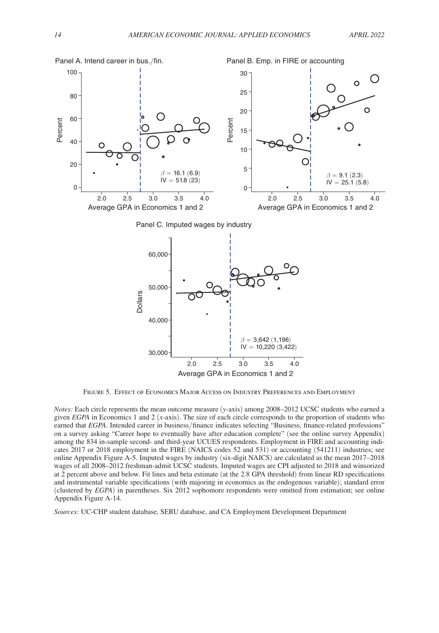

Average GPA in Economics 1 and 2

Figure 5. Effect of Economics Major Access on Industry Preferences and Employment

*Notes:* Each circle represents the mean outcome measure (*y*-axis) among 2008–2012 UCSC students who earned a given *EGPA* in Economics 1 and 2 (*x*-axis). The size of each circle corresponds to the proportion of students who earned that *EGPA*. Intended career in business/finance indicates selecting "Business, finance-related professions" on a survey asking "Career hope to eventually have after education complete" (see the online survey Appendix) among the 834 in-sample second- and third-year UCUES respondents. Employment in FIRE and accounting indicates 2017 or 2018 employment in the FIRE (NAICS codes 52 and 531) or accounting (541211) industries; see online Appendix Figure A-5. Imputed wages by industry ( six-digit NAICS) are calculated as the mean 2017–2018 wages of all 2008–2012 freshman-admit UCSC students. Imputed wages are CPI adjusted to 2018 and winsorized at 2 percent above and below. Fit lines and beta estimate (at the 2.8 GPA threshold) from linear RD specifications and instrumental variable specifications (with majoring in economics as the endogenous variable); standard error (clustered by *EGPA*) in parentheses. Six 2012 sophomore respondents were omitted from estimation; see online Appendix Figure A-14.

*Sources:* UC-CHP student database, SERU database, and CA Employment Development Department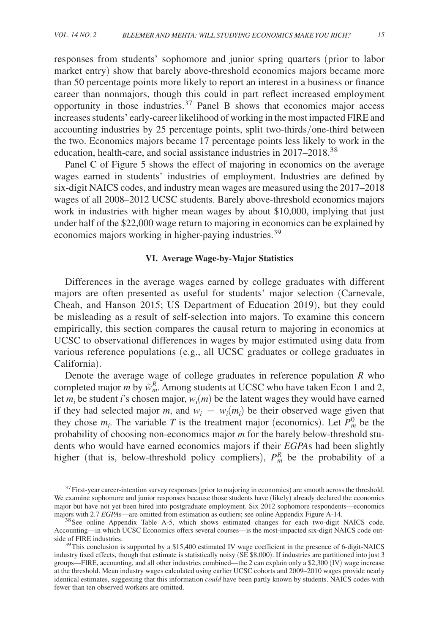responses from students' sophomore and junior spring quarters (prior to labor market entry) show that barely above-threshold economics majors became more than 50 percentage points more likely to report an interest in a business or finance career than nonmajors, though this could in part reflect increased employment opportunity in those industries.<sup>37</sup> Panel B shows that economics major access increases students' early-career likelihood of working in the most impacted FIRE and accounting industries by 25 percentage points, split two-thirds/ one-third between the two. Economics majors became 17 percentage points less likely to work in the education, health-care, and social assistance industries in 2017–2018.<sup>38</sup>

Panel C of Figure 5 shows the effect of majoring in economics on the average wages earned in students' industries of employment. Industries are defined by six-digit NAICS codes, and industry mean wages are measured using the 2017–2018 wages of all 2008–2012 UCSC students. Barely above-threshold economics majors work in industries with higher mean wages by about \$10,000, implying that just under half of the \$22,000 wage return to majoring in economics can be explained by economics majors working in higher-paying industries.<sup>39</sup>

## **VI. Average Wage-by-Major Statistics**

Differences in the average wages earned by college graduates with different majors are often presented as useful for students' major selection (Carnevale, Cheah, and Hanson 2015; US Department of Education 2019), but they could be misleading as a result of self-selection into majors. To examine this concern empirically, this section compares the causal return to majoring in economics at UCSC to observational differences in wages by major estimated using data from various reference populations (e.g., all UCSC graduates or college graduates in California).

Denote the average wage of college graduates in reference population *R* who completed major *m* by  $\tilde{w}_m^R$ . Among students at UCSC who have taken Econ 1 and 2, let  $m_i$  be student *i*'s chosen major,  $w_i(m)$  be the latent wages they would have earned if they had selected major *m*, and  $w_i = w_i(m_i)$  be their observed wage given that they chose  $m_i$ . The variable *T* is the treatment major (economics). Let  $P_m^0$  be the probability of choosing non-economics major *m* for the barely below-threshold students who would have earned economics majors if their *EGPA*s had been slightly higher (that is, below-threshold policy compliers),  $P_m^R$  be the probability of a

 $37$  First-year career-intention survey responses (prior to majoring in economics) are smooth across the threshold. We examine sophomore and junior responses because those students have (likely) already declared the economics major but have not yet been hired into postgraduate employment. Six 2012 sophomore respondents—economics majors with 2.7 *EGPA* s—are omitted from estimation as outliers; see online Appendix Figure A-14.

<sup>&</sup>lt;sup>38</sup> See online Appendix Table A-5, which shows estimated changes for each two-digit NAICS code. Accounting—in which UCSC Economics offers several courses—is the most-impacted six-digit NAICS code outside of FIRE industries.

 $39$ This conclusion is supported by a \$15,400 estimated IV wage coefficient in the presence of 6-digit-NAICS industry fixed effects, though that estimate is statistically noisy (SE \$8,000). If industries are partitioned into just 3 groups—FIRE, accounting, and all other industries combined—the 2 can explain only a \$2,300 (IV) wage increase at the threshold. Mean industry wages calculated using earlier UCSC cohorts and 2009–2010 wages provide nearly identical estimates, suggesting that this information *could* have been partly known by students. NAICS codes with fewer than ten observed workers are omitted.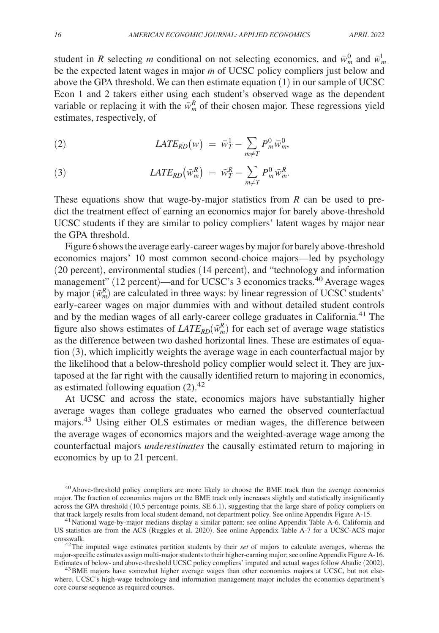student in *R* selecting *m* conditional on not selecting economics, and  $\bar{w}_m^0$  and  $\bar{w}_m^1$ be the expected latent wages in major *m* of UCSC policy compliers just below and above the GPA threshold. We can then estimate equation  $(1)$  in our sample of UCSC Econ 1 and 2 takers either using each student's observed wage as the dependent variable or replacing it with the  $\tilde{w}_m^R$  of their chosen major. These regressions yield estimates, respectively, of

(2) 
$$
LATE_{RD}(w) = \overline{w}_T^1 - \sum_{m \neq T} P_m^0 \overline{w}_m^0,
$$

(3) 
$$
LATE_{RD}(\tilde{w}_m^R) = \tilde{w}_T^R - \sum_{m \neq T} P_m^0 \tilde{w}_m^R.
$$

These equations show that wage-by-major statistics from *R* can be used to predict the treatment effect of earning an economics major for barely above-threshold UCSC students if they are similar to policy compliers' latent wages by major near the GPA threshold.

Figure 6 shows the average early-career wages by major for barely above-threshold economics majors' 10 most common second-choice majors—led by psychology (20 percent), environmental studies (14 percent), and "technology and information management" (12 percent)—and for UCSC's 3 economics tracks.<sup>40</sup> Average wages by major  $(\tilde{w}_m^R)$  are calculated in three ways: by linear regression of UCSC students' early-career wages on major dummies with and without detailed student controls and by the median wages of all early-career college graduates in California.<sup>41</sup> The figure also shows estimates of  $LATE_{RD}(\tilde{w}_m^R)$  for each set of average wage statistics as the difference between two dashed horizontal lines. These are estimates of equation (3), which implicitly weights the average wage in each counterfactual major by the likelihood that a below-threshold policy complier would select it. They are juxtaposed at the far right with the causally identified return to majoring in economics, as estimated following equation  $(2).<sup>42</sup>$ 

At UCSC and across the state, economics majors have substantially higher average wages than college graduates who earned the observed counterfactual majors.43 Using either OLS estimates or median wages, the difference between the average wages of economics majors and the weighted-average wage among the counterfactual majors *underestimates* the causally estimated return to majoring in economics by up to 21 percent.

<sup>&</sup>lt;sup>40</sup> Above-threshold policy compliers are more likely to choose the BME track than the average economics major. The fraction of economics majors on the BME track only increases slightly and statistically insignificantly across the GPA threshold (10.5 percentage points, SE 6.1), suggesting that the large share of policy compliers on that track largely results from local student demand, not department policy. See online Appendix Figure A-15.

<sup>&</sup>lt;sup>41</sup> National wage-by-major medians display a similar pattern; see online Appendix Table A-6. California and US statistics are from the ACS (Ruggles et al. 2020). See online Appendix Table A-7 for a UCSC-ACS major crosswalk.

<sup>&</sup>lt;sup>42</sup>The imputed wage estimates partition students by their *set* of majors to calculate averages, whereas the major-specific estimates assign multi-major students to their higher-earning major; see online Appendix Figure A-16. Estimates of below- and above-threshold UCSC policy compliers' imputed and actual wages follow Abadie (2002).

<sup>&</sup>lt;sup>43</sup>BME majors have somewhat higher average wages than other economics majors at UCSC, but not elsewhere. UCSC's high-wage technology and information management major includes the economics department's core course sequence as required courses.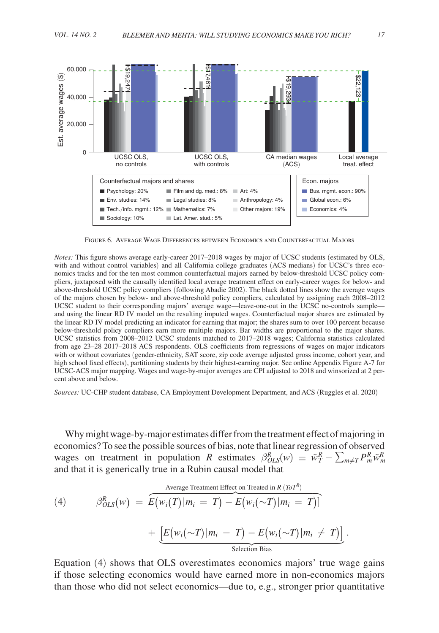

Figure 6. Average Wage Differences between Economics and Counterfactual Majors

*Notes:* This figure shows average early-career 2017–2018 wages by major of UCSC students (estimated by OLS, with and without control variables) and all California college graduates (ACS medians) for UCSC's three economics tracks and for the ten most common counterfactual majors earned by below-threshold UCSC policy compliers, juxtaposed with the causally identified local average treatment effect on early-career wages for below- and above-threshold UCSC policy compliers (following Abadie 2002). The black dotted lines show the average wages of the majors chosen by below- and above-threshold policy compliers, calculated by assigning each 2008–2012 UCSC student to their corresponding majors' average wage— leave-one-out in the UCSC no-controls sample and using the linear RD IV model on the resulting imputed wages. Counterfactual major shares are estimated by the linear RD IV model predicting an indicator for earning that major; the shares sum to over 100 percent because below-threshold policy compliers earn more multiple majors. Bar widths are proportional to the major shares. UCSC statistics from 2008–2012 UCSC students matched to 2017–2018 wages; California statistics calculated from age 23–28 2017–2018 ACS respondents. OLS coefficients from regressions of wages on major indicators with or without covariates (gender-ethnicity, SAT score, zip code average adjusted gross income, cohort year, and high school fixed effects), partitioning students by their highest-earning major. See online Appendix Figure A-7 for UCSC-ACS major mapping. Wages and wage-by-major averages are CPI adjusted to 2018 and winsorized at 2 percent above and below.

*Sources:* UC-CHP student database, CA Employment Development Department, and ACS (Ruggles et al. 2020)

Why might wage-by-major estimates differ from the treatment effect of majoring in economics? To see the possible sources of bias, note that linear regression of observed wages on treatment in population *R* estimates  $\beta_{OLS}^R(w) \equiv \tilde{w}_T^R - \sum_{m \neq T} P_m^R \tilde{w}_m^R$ 

and that it is generically true in a Rubin causal model that (4) β*OLS R* (*w*) = *E*(*wi*(*T*) | *m<sup>i</sup>* = *T*) − *E*(*wi*(∼*T*) | *m<sup>i</sup>* = *T*) ] Average Treatment Effect on Treated in *R* (*ToT R* ) + [ *E*(*wi*(∼*T*) | *m<sup>i</sup>* = *T*) − *E*(*wi*(∼*T*) | *m<sup>i</sup>* ≠ *T*)] Selection Bias .

Equation (4) shows that OLS overestimates economics majors' true wage gains if those selecting economics would have earned more in non-economics majors than those who did not select economics—due to, e.g., stronger prior quantitative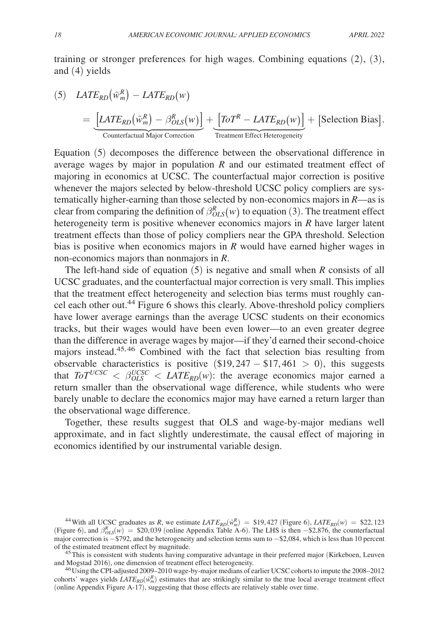training or stronger preferences for high wages. Combining equations (2), (3), and (4) yields

(5) 
$$
LATE_{RD}(\tilde{w}_m^R) - LATE_{RD}(w)
$$

$$
= \underbrace{[LATE_{RD}(\tilde{w}_m^R) - \beta_{OLS}^R(w)]}_{\text{Counterfactual Major Correction}} + \underbrace{[ToT^R - LATE_{RD}(w)]}_{\text{ Treatment Effect Heterogeneity}} + \text{[Selection Bias]}.
$$

Equation (5) decomposes the difference between the observational difference in average wages by major in population *R* and our estimated treatment effect of majoring in economics at UCSC. The counterfactual major correction is positive whenever the majors selected by below-threshold UCSC policy compliers are systematically higher-earning than those selected by non-economics majors in *R* —as is clear from comparing the definition of  $\beta_{OLS}^R(w)$  to equation (3). The treatment effect heterogeneity term is positive whenever economics majors in *R* have larger latent treatment effects than those of policy compliers near the GPA threshold. Selection bias is positive when economics majors in *R* would have earned higher wages in non-economics majors than nonmajors in *R* .

The left-hand side of equation (5) is negative and small when *R* consists of all UCSC graduates, and the counterfactual major correction is very small. This implies that the treatment effect heterogeneity and selection bias terms must roughly cancel each other out.<sup>44</sup> Figure 6 shows this clearly. Above-threshold policy compliers have lower average earnings than the average UCSC students on their economics tracks, but their wages would have been even lower—to an even greater degree than the difference in average wages by major—if they'd earned their second-choice majors instead.45, 46 Combined with the fact that selection bias resulting from observable characteristics is positive  $(\$19, 247 - \$17, 461 > 0)$ , this suggests that  $T_0 T^{UCSC} < \beta_{OLS}^{UCSC} < LATE_{RD}(w)$ : the average economics major earned a return smaller than the observational wage difference, while students who were barely unable to declare the economics major may have earned a return larger than the observational wage difference.

Together, these results suggest that OLS and wage-by-major medians well approximate, and in fact slightly underestimate, the causal effect of majoring in economics identified by our instrumental variable design.

<sup>44</sup> With all UCSC graduates as *R*, we estimate  $LATE_{RD}(\tilde{w}_m^R) = $19,427$  (Figure 6),  $LATE_{RD}(w) = $22,123$ (Figure 6), and  $\beta_{OLS}^R(w)$  = \$20,039 (online Appendix Table A-6). The LHS is then −\$2,876, the counterfactual major correction is −\$792, and the heterogeneity and selection terms sum to −\$2,084, which is less than 10 percent of the estimated treatment effect by magnitude.

<sup>45</sup>This is consistent with students having comparative advantage in their preferred major (Kirkeboen, Leuven and Mogstad 2016), one dimension of treatment effect heterogeneity.

<sup>46</sup>Using the CPI-adjusted 2009–2010 wage-by-major medians of earlier UCSC cohorts to impute the 2008–2012 cohorts' wages yields  $LATE_{RD}(\tilde{w}_m^R)$  estimates that are strikingly similar to the true local average treatment effect (online Appendix Figure A-17), suggesting that those effects are relatively stable over time.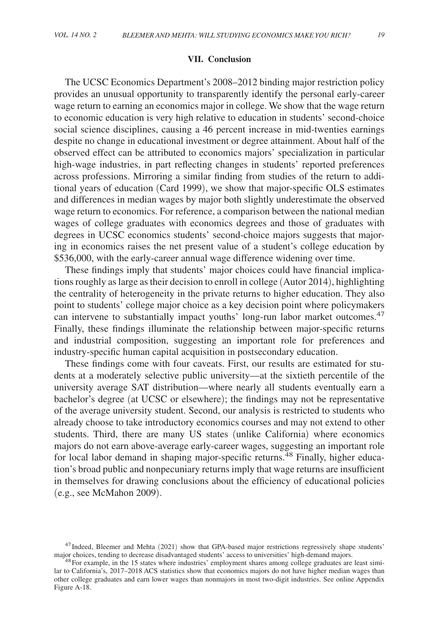#### **VII. Conclusion**

The UCSC Economics Department's 2008–2012 binding major restriction policy provides an unusual opportunity to transparently identify the personal early-career wage return to earning an economics major in college. We show that the wage return to economic education is very high relative to education in students' second-choice social science disciplines, causing a 46 percent increase in mid-twenties earnings despite no change in educational investment or degree attainment. About half of the observed effect can be attributed to economics majors' specialization in particular high-wage industries, in part reflecting changes in students' reported preferences across professions. Mirroring a similar finding from studies of the return to additional years of education (Card 1999), we show that major-specific OLS estimates and differences in median wages by major both slightly underestimate the observed wage return to economics. For reference, a comparison between the national median wages of college graduates with economics degrees and those of graduates with degrees in UCSC economics students' second-choice majors suggests that majoring in economics raises the net present value of a student's college education by \$536,000, with the early-career annual wage difference widening over time.

These findings imply that students' major choices could have financial implications roughly as large as their decision to enroll in college (Autor 2014), highlighting the centrality of heterogeneity in the private returns to higher education. They also point to students' college major choice as a key decision point where policymakers can intervene to substantially impact youths' long-run labor market outcomes.<sup>47</sup> Finally, these findings illuminate the relationship between major-specific returns and industrial composition, suggesting an important role for preferences and industry-specific human capital acquisition in postsecondary education.

These findings come with four caveats. First, our results are estimated for students at a moderately selective public university—at the sixtieth percentile of the university average SAT distribution—where nearly all students eventually earn a bachelor's degree (at UCSC or elsewhere); the findings may not be representative of the average university student. Second, our analysis is restricted to students who already choose to take introductory economics courses and may not extend to other students. Third, there are many US states (unlike California) where economics majors do not earn above-average early-career wages, suggesting an important role for local labor demand in shaping major-specific returns.<sup>48</sup> Finally, higher education's broad public and nonpecuniary returns imply that wage returns are insufficient in themselves for drawing conclusions about the efficiency of educational policies (e.g., see McMahon 2009).

<sup>&</sup>lt;sup>47</sup>Indeed, Bleemer and Mehta (2021) show that GPA-based major restrictions regressively shape students' major choices, tending to decrease disadvantaged students' access to universities' high-demand majors.

<sup>&</sup>lt;sup>48</sup>For example, in the 15 states where industries' employment shares among college graduates are least similar to California's, 2017–2018 ACS statistics show that economics majors do not have higher median wages than other college graduates and earn lower wages than nonmajors in most two-digit industries. See online Appendix Figure A-18.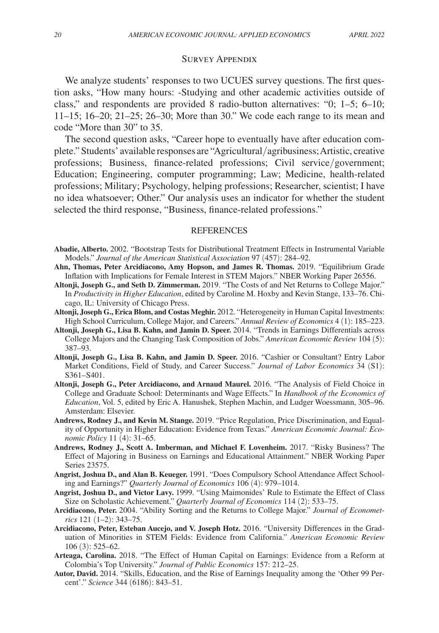#### Survey Appendix

We analyze students' responses to two UCUES survey questions. The first question asks, "How many hours: -Studying and other academic activities outside of class," and respondents are provided 8 radio-button alternatives: "0; 1–5; 6–10; 11–15; 16–20; 21–25; 26–30; More than 30." We code each range to its mean and code "More than 30" to 35.

The second question asks, "Career hope to eventually have after education complete." Students' available responses are "Agricultural/agribusiness; Artistic, creative professions; Business, finance-related professions; Civil service/government; Education; Engineering, computer programming; Law; Medicine, health-related professions; Military; Psychology, helping professions; Researcher, scientist; I have no idea whatsoever; Other." Our analysis uses an indicator for whether the student selected the third response, "Business, finance-related professions."

#### **REFERENCES**

- **Abadie, Alberto.** 2002. "Bootstrap Tests for Distributional Treatment Effects in Instrumental Variable Models." *Journal of the American Statistical Association* 97 (457): 284–92.
- **Ahn, Thomas, Peter Arcidiacono, Amy Hopson, and James R. Thomas.** 2019. "Equilibrium Grade Inflation with Implications for Female Interest in STEM Majors." NBER Working Paper 26556.
- **Altonji, Joseph G., and Seth D. Zimmerman.** 2019. "The Costs of and Net Returns to College Major." In *Productivity in Higher Education*, edited by Caroline M. Hoxby and Kevin Stange, 133–76. Chicago, IL: University of Chicago Press.
- **Altonji, Joseph G., Erica Blom, and Costas Meghir.** 2012. "Heterogeneity in Human Capital Investments: High School Curriculum, College Major, and Careers." *Annual Review of Economics* 4 (1): 185–223.
- **Altonji, Joseph G., Lisa B. Kahn, and Jamin D. Speer.** 2014. "Trends in Earnings Differentials across College Majors and the Changing Task Composition of Jobs." *American Economic Review* 104 (5): 387–93.
- **Altonji, Joseph G., Lisa B. Kahn, and Jamin D. Speer.** 2016. "Cashier or Consultant? Entry Labor Market Conditions, Field of Study, and Career Success." *Journal of Labor Economics* 34 (S1): S361-S401.
- **Altonji, Joseph G., Peter Arcidiacono, and Arnaud Maurel.** 2016. "The Analysis of Field Choice in College and Graduate School: Determinants and Wage Effects." In *Handbook of the Economics of Education*, Vol. 5, edited by Eric A. Hanushek, Stephen Machin, and Ludger Woessmann, 305–96. Amsterdam: Elsevier.
- **Andrews, Rodney J., and Kevin M. Stange.** 2019. "Price Regulation, Price Discrimination, and Equality of Opportunity in Higher Education: Evidence from Texas." *American Economic Journal: Economic Policy* 11 (4): 31–65.
- **Andrews, Rodney J., Scott A. Imberman, and Michael F. Lovenheim.** 2017. "Risky Business? The Effect of Majoring in Business on Earnings and Educational Attainment." NBER Working Paper Series 23575.
- **Angrist, Joshua D., and Alan B. Keueger.** 1991. "Does Compulsory School Attendance Affect Schooling and Earnings?" *Quarterly Journal of Economics* 106 (4): 979–1014.
- **Angrist, Joshua D., and Victor Lavy.** 1999. "Using Maimonides' Rule to Estimate the Effect of Class Size on Scholastic Achievement." *Quarterly Journal of Economics* 114 (2): 533–75.
- **Arcidiacono, Peter.** 2004. "Ability Sorting and the Returns to College Major." *Journal of Econometrics* 121 (1–2): 343–75.
- **Arcidiacono, Peter, Esteban Aucejo, and V. Joseph Hotz.** 2016. "University Differences in the Graduation of Minorities in STEM Fields: Evidence from California." *American Economic Review*  106 (3): 525–62.
- **Arteaga, Carolina.** 2018. "The Effect of Human Capital on Earnings: Evidence from a Reform at Colombia's Top University." *Journal of Public Economics* 157: 212–25.
- **Autor, David.** 2014. "Skills, Education, and the Rise of Earnings Inequality among the 'Other 99 Percent'." *Science* 344 (6186): 843–51.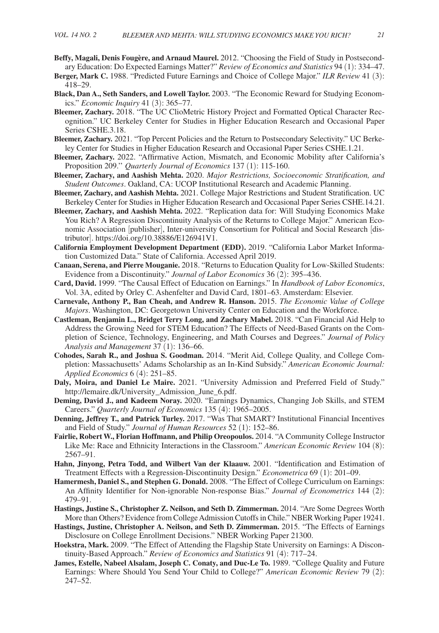- **Beffy, Magali, Denis Fougère, and Arnaud Maurel.** 2012. "Choosing the Field of Study in Postsecondary Education: Do Expected Earnings Matter?" *Review of Economics and Statistics* 94 (1): 334–47.
- **Berger, Mark C.** 1988. "Predicted Future Earnings and Choice of College Major." *ILR Review* 41 (3): 418–29.
- **Black, Dan A., Seth Sanders, and Lowell Taylor.** 2003. "The Economic Reward for Studying Economics." *Economic Inquiry* 41 (3): 365–77.
- **Bleemer, Zachary.** 2018. "The UC ClioMetric History Project and Formatted Optical Character Recognition." UC Berkeley Center for Studies in Higher Education Research and Occasional Paper Series CSHE.3.18.
- **Bleemer, Zachary.** 2021. "Top Percent Policies and the Return to Postsecondary Selectivity." UC Berkeley Center for Studies in Higher Education Research and Occasional Paper Series CSHE.1.21.
- **Bleemer, Zachary.** 2022. "Affirmative Action, Mismatch, and Economic Mobility after California's Proposition 209.'' *Quarterly Journal of Economics* 137 (1): 115-160.
- **Bleemer, Zachary, and Aashish Mehta.** 2020. *Major Restrictions, Socioeconomic Stratification, and Student Outcomes*. Oakland, CA: UCOP Institutional Research and Academic Planning.
- **Bleemer, Zachary, and Aashish Mehta.** 2021. College Major Restrictions and Student Stratification. UC Berkeley Center for Studies in Higher Education Research and Occasional Paper Series CSHE.14.21.
- **Bleemer, Zachary, and Aashish Mehta.** 2022. "Replication data for: Will Studying Economics Make You Rich? A Regression Discontinuity Analysis of the Returns to College Major." American Economic Association [publisher], Inter-university Consortium for Political and Social Research [distributor]. https://doi.org/10.38886/E126941V1.
- **California Employment Development Department (EDD).** 2019. "California Labor Market Information Customized Data." State of California. Accessed April 2019.
- **Canaan, Serena, and Pierre Mouganie.** 2018. "Returns to Education Quality for Low-Skilled Students: Evidence from a Discontinuity." *Journal of Labor Economics* 36 (2): 395–436.
- **Card, David.** 1999. "The Causal Effect of Education on Earnings." In *Handbook of Labor Economics*, Vol. 3A, edited by Orley C. Ashenfelter and David Card, 1801–63. Amsterdam: Elsevier.
- **Carnevale, Anthony P., Ban Cheah, and Andrew R. Hanson.** 2015. *The Economic Value of College Majors*. Washington, DC: Georgetown University Center on Education and the Workforce.
- **Castleman, Benjamin L., Bridget Terry Long, and Zachary Mabel.** 2018. "Can Financial Aid Help to Address the Growing Need for STEM Education? The Effects of Need-Based Grants on the Completion of Science, Technology, Engineering, and Math Courses and Degrees." *Journal of Policy Analysis and Management* 37 (1): 136–66.
- **Cohodes, Sarah R., and Joshua S. Goodman.** 2014. "Merit Aid, College Quality, and College Completion: Massachusetts' Adams Scholarship as an In-Kind Subsidy." *American Economic Journal: Applied Economics* 6 (4): 251–85.
- **Daly, Moira, and Daniel Le Maire.** 2021. "University Admission and Preferred Field of Study." http://lemaire.dk/University\_Admission\_June\_6.pdf.
- **Deming, David J., and Kadeem Noray.** 2020. "Earnings Dynamics, Changing Job Skills, and STEM Careers." *Quarterly Journal of Economics* 135 (4): 1965–2005.
- **Denning, Jeffrey T., and Patrick Turley.** 2017. "Was That SMART? Institutional Financial Incentives and Field of Study." *Journal of Human Resources* 52 (1): 152–86.
- **Fairlie, Robert W., Florian Hoffmann, and Philip Oreopoulos.** 2014. "A Community College Instructor Like Me: Race and Ethnicity Interactions in the Classroom." *American Economic Review* 104 (8): 2567–91.
- **Hahn, Jinyong, Petra Todd, and Wilbert Van der Klaauw.** 2001. "Identification and Estimation of Treatment Effects with a Regression-Discontinuity Design." *Econometrica* 69 (1): 201–09.
- **Hamermesh, Daniel S., and Stephen G. Donald.** 2008. "The Effect of College Curriculum on Earnings: An Affinity Identifier for Non-ignorable Non-response Bias." *Journal of Econometrics* 144 (2): 479–91.
- **Hastings, Justine S., Christopher Z. Neilson, and Seth D. Zimmerman.** 2014. "Are Some Degrees Worth More than Others? Evidence from College Admission Cutoffs in Chile." NBER Working Paper 19241.
- **Hastings, Justine, Christopher A. Neilson, and Seth D. Zimmerman.** 2015. "The Effects of Earnings Disclosure on College Enrollment Decisions." NBER Working Paper 21300.
- **Hoekstra, Mark.** 2009. "The Effect of Attending the Flagship State University on Earnings: A Discontinuity-Based Approach." *Review of Economics and Statistics* 91 (4): 717–24.
- **James, Estelle, Nabeel Alsalam, Joseph C. Conaty, and Duc-Le To.** 1989. "College Quality and Future Earnings: Where Should You Send Your Child to College?" *American Economic Review* 79 (2): 247–52.